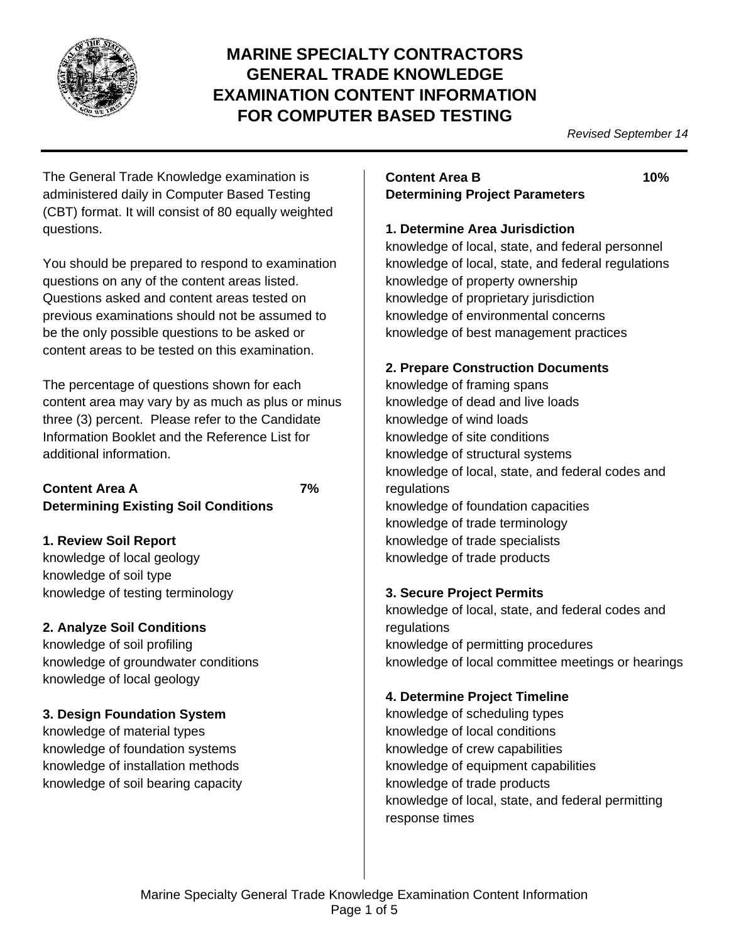

# **MARINE SPECIALTY CONTRACTORS GENERAL TRADE KNOWLEDGE EXAMINATION CONTENT INFORMATION FOR COMPUTER BASED TESTING**

*Revised September 14*

The General Trade Knowledge examination is administered daily in Computer Based Testing (CBT) format. It will consist of 80 equally weighted questions.

You should be prepared to respond to examination questions on any of the content areas listed. Questions asked and content areas tested on previous examinations should not be assumed to be the only possible questions to be asked or content areas to be tested on this examination.

The percentage of questions shown for each content area may vary by as much as plus or minus three (3) percent. Please refer to the Candidate Information Booklet and the Reference List for additional information.

#### **Content Area A 7% Determining Existing Soil Conditions**

## **1. Review Soil Report**

knowledge of local geology knowledge of soil type knowledge of testing terminology

# **2. Analyze Soil Conditions**

knowledge of soil profiling knowledge of groundwater conditions knowledge of local geology

## **3. Design Foundation System**

knowledge of material types knowledge of foundation systems knowledge of installation methods knowledge of soil bearing capacity

### **Content Area B 10% Determining Project Parameters**

#### **1. Determine Area Jurisdiction**

knowledge of local, state, and federal personnel knowledge of local, state, and federal regulations knowledge of property ownership knowledge of proprietary jurisdiction knowledge of environmental concerns knowledge of best management practices

### **2. Prepare Construction Documents**

knowledge of framing spans knowledge of dead and live loads knowledge of wind loads knowledge of site conditions knowledge of structural systems knowledge of local, state, and federal codes and regulations knowledge of foundation capacities knowledge of trade terminology knowledge of trade specialists knowledge of trade products

### **3. Secure Project Permits**

knowledge of local, state, and federal codes and regulations knowledge of permitting procedures knowledge of local committee meetings or hearings

## **4. Determine Project Timeline**

knowledge of scheduling types knowledge of local conditions knowledge of crew capabilities knowledge of equipment capabilities knowledge of trade products knowledge of local, state, and federal permitting response times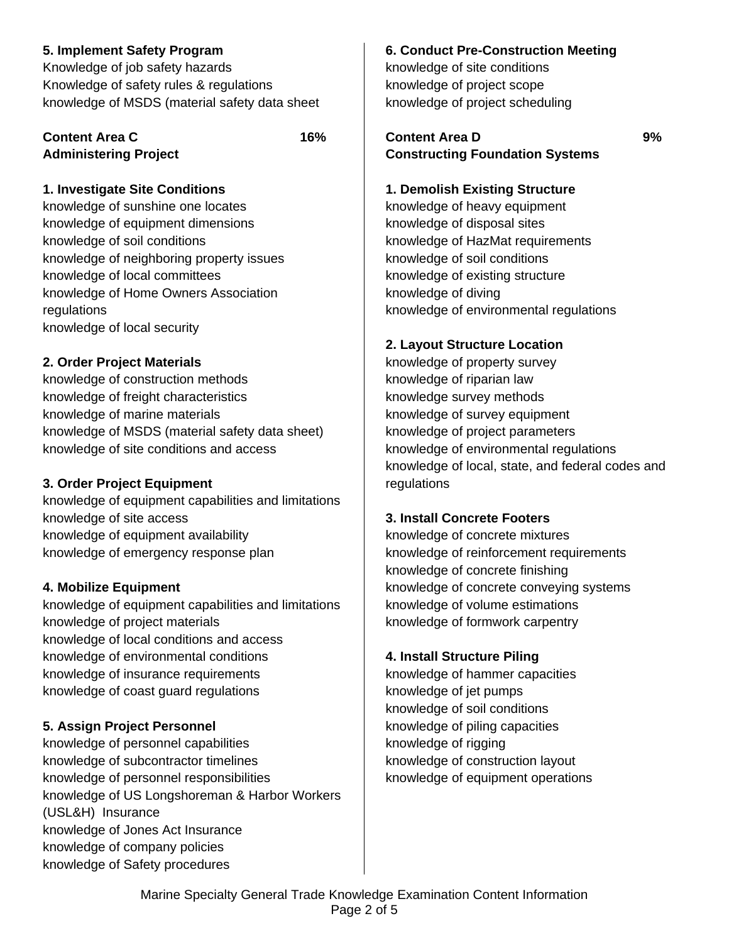### **5. Implement Safety Program**

Knowledge of job safety hazards Knowledge of safety rules & regulations knowledge of MSDS (material safety data sheet

#### **Content Area C 16% Administering Project**

#### **1. Investigate Site Conditions**

knowledge of sunshine one locates knowledge of equipment dimensions knowledge of soil conditions knowledge of neighboring property issues knowledge of local committees knowledge of Home Owners Association regulations knowledge of local security

### **2. Order Project Materials**

knowledge of construction methods knowledge of freight characteristics knowledge of marine materials knowledge of MSDS (material safety data sheet) knowledge of site conditions and access

### **3. Order Project Equipment**

knowledge of equipment capabilities and limitations knowledge of site access knowledge of equipment availability knowledge of emergency response plan

### **4. Mobilize Equipment**

knowledge of equipment capabilities and limitations knowledge of project materials knowledge of local conditions and access knowledge of environmental conditions knowledge of insurance requirements knowledge of coast guard regulations

### **5. Assign Project Personnel**

knowledge of personnel capabilities knowledge of subcontractor timelines knowledge of personnel responsibilities knowledge of US Longshoreman & Harbor Workers (USL&H) Insurance knowledge of Jones Act Insurance knowledge of company policies knowledge of Safety procedures

#### **6. Conduct Pre-Construction Meeting**

knowledge of site conditions knowledge of project scope knowledge of project scheduling

### **Content Area D 9% Constructing Foundation Systems**

#### **1. Demolish Existing Structure**

knowledge of heavy equipment knowledge of disposal sites knowledge of HazMat requirements knowledge of soil conditions knowledge of existing structure knowledge of diving knowledge of environmental regulations

#### **2. Layout Structure Location**

knowledge of property survey knowledge of riparian law knowledge survey methods knowledge of survey equipment knowledge of project parameters knowledge of environmental regulations knowledge of local, state, and federal codes and regulations

### **3. Install Concrete Footers**

knowledge of concrete mixtures knowledge of reinforcement requirements knowledge of concrete finishing knowledge of concrete conveying systems knowledge of volume estimations knowledge of formwork carpentry

#### **4. Install Structure Piling**

knowledge of hammer capacities knowledge of jet pumps knowledge of soil conditions knowledge of piling capacities knowledge of rigging knowledge of construction layout knowledge of equipment operations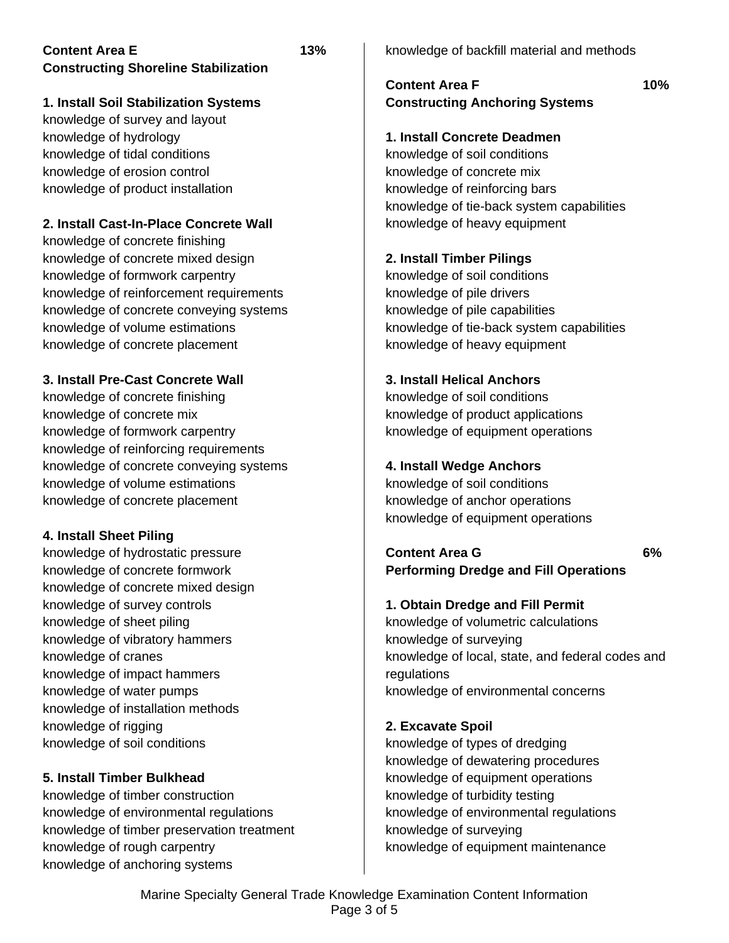### **Content Area E 13% Constructing Shoreline Stabilization**

### **1. Install Soil Stabilization Systems**

knowledge of survey and layout knowledge of hydrology knowledge of tidal conditions knowledge of erosion control knowledge of product installation

### **2. Install Cast-In-Place Concrete Wall**

knowledge of concrete finishing knowledge of concrete mixed design knowledge of formwork carpentry knowledge of reinforcement requirements knowledge of concrete conveying systems knowledge of volume estimations knowledge of concrete placement

### **3. Install Pre-Cast Concrete Wall**

knowledge of concrete finishing knowledge of concrete mix knowledge of formwork carpentry knowledge of reinforcing requirements knowledge of concrete conveying systems knowledge of volume estimations knowledge of concrete placement

### **4. Install Sheet Piling**

knowledge of hydrostatic pressure knowledge of concrete formwork knowledge of concrete mixed design knowledge of survey controls knowledge of sheet piling knowledge of vibratory hammers knowledge of cranes knowledge of impact hammers knowledge of water pumps knowledge of installation methods knowledge of rigging knowledge of soil conditions

## **5. Install Timber Bulkhead**

knowledge of timber construction knowledge of environmental regulations knowledge of timber preservation treatment knowledge of rough carpentry knowledge of anchoring systems

knowledge of backfill material and methods

### **Content Area F 10% Constructing Anchoring Systems**

#### **1. Install Concrete Deadmen**

knowledge of soil conditions knowledge of concrete mix knowledge of reinforcing bars knowledge of tie-back system capabilities knowledge of heavy equipment

### **2. Install Timber Pilings**

knowledge of soil conditions knowledge of pile drivers knowledge of pile capabilities knowledge of tie-back system capabilities knowledge of heavy equipment

### **3. Install Helical Anchors**

knowledge of soil conditions knowledge of product applications knowledge of equipment operations

### **4. Install Wedge Anchors**

knowledge of soil conditions knowledge of anchor operations knowledge of equipment operations

### **Content Area G 6% Performing Dredge and Fill Operations**

## **1. Obtain Dredge and Fill Permit**

knowledge of volumetric calculations knowledge of surveying knowledge of local, state, and federal codes and regulations knowledge of environmental concerns

## **2. Excavate Spoil**

knowledge of types of dredging knowledge of dewatering procedures knowledge of equipment operations knowledge of turbidity testing knowledge of environmental regulations knowledge of surveying knowledge of equipment maintenance

Marine Specialty General Trade Knowledge Examination Content Information Page 3 of 5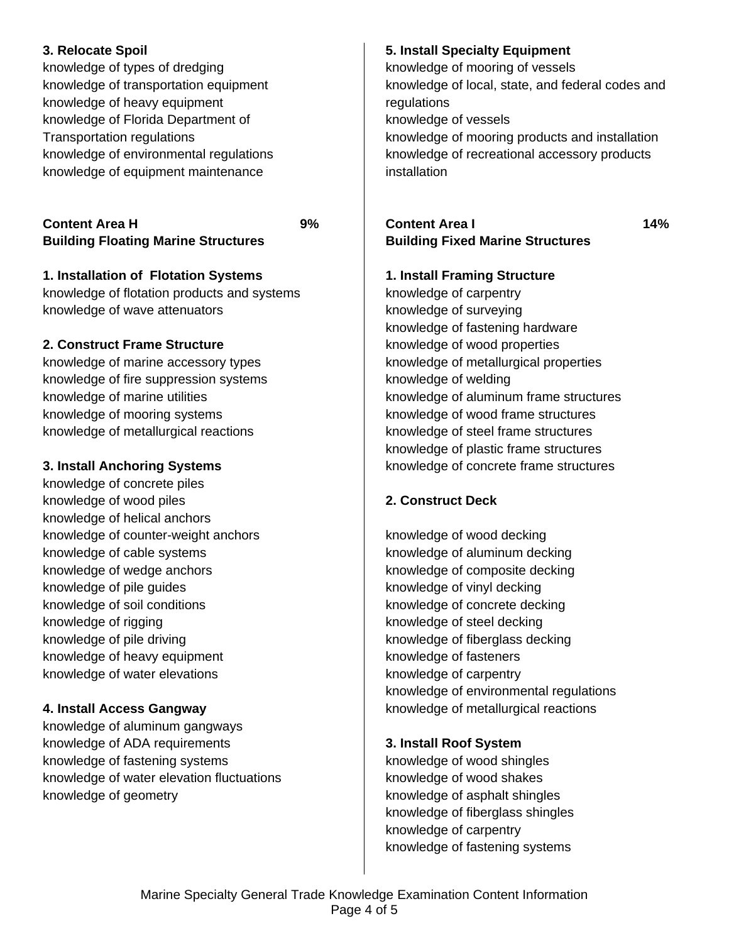### **3. Relocate Spoil**

knowledge of types of dredging knowledge of transportation equipment knowledge of heavy equipment knowledge of Florida Department of Transportation regulations knowledge of environmental regulations knowledge of equipment maintenance

## **Content Area H 9% Building Floating Marine Structures**

**1. Installation of Flotation Systems** knowledge of flotation products and systems knowledge of wave attenuators

# **2. Construct Frame Structure**

knowledge of marine accessory types knowledge of fire suppression systems knowledge of marine utilities knowledge of mooring systems knowledge of metallurgical reactions

# **3. Install Anchoring Systems**

knowledge of concrete piles knowledge of wood piles knowledge of helical anchors knowledge of counter-weight anchors knowledge of cable systems knowledge of wedge anchors knowledge of pile guides knowledge of soil conditions knowledge of rigging knowledge of pile driving knowledge of heavy equipment knowledge of water elevations

# **4. Install Access Gangway**

knowledge of aluminum gangways knowledge of ADA requirements knowledge of fastening systems knowledge of water elevation fluctuations knowledge of geometry

## **5. Install Specialty Equipment**

knowledge of mooring of vessels knowledge of local, state, and federal codes and regulations knowledge of vessels knowledge of mooring products and installation knowledge of recreational accessory products installation

# **Content Area I 14% Building Fixed Marine Structures**

## **1. Install Framing Structure**

knowledge of carpentry knowledge of surveying knowledge of fastening hardware knowledge of wood properties knowledge of metallurgical properties knowledge of welding knowledge of aluminum frame structures knowledge of wood frame structures knowledge of steel frame structures knowledge of plastic frame structures knowledge of concrete frame structures

# **2. Construct Deck**

knowledge of wood decking knowledge of aluminum decking knowledge of composite decking knowledge of vinyl decking knowledge of concrete decking knowledge of steel decking knowledge of fiberglass decking knowledge of fasteners knowledge of carpentry knowledge of environmental regulations knowledge of metallurgical reactions

# **3. Install Roof System**

knowledge of wood shingles knowledge of wood shakes knowledge of asphalt shingles knowledge of fiberglass shingles knowledge of carpentry knowledge of fastening systems